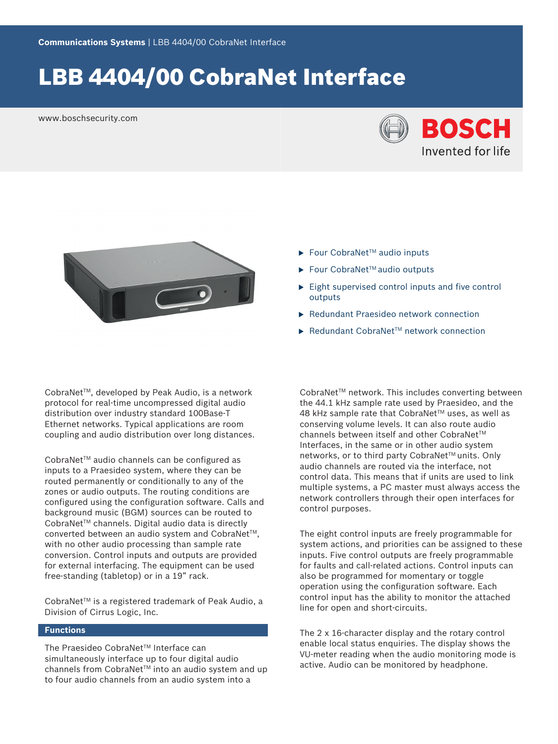# LBB 4404/00 CobraNet Interface

www.boschsecurity.com





CobraNetTM, developed by Peak Audio, is a network protocol for real-time uncompressed digital audio distribution over industry standard 100Base-T Ethernet networks. Typical applications are room coupling and audio distribution over long distances.

CobraNet<sup>™</sup> audio channels can be configured as inputs to a Praesideo system, where they can be routed permanently or conditionally to any of the zones or audio outputs. The routing conditions are configured using the configuration software. Calls and background music (BGM) sources can be routed to CobraNet<sup>™</sup> channels. Digital audio data is directly converted between an audio system and CobraNet<sup>™</sup>, with no other audio processing than sample rate conversion. Control inputs and outputs are provided for external interfacing. The equipment can be used free-standing (tabletop) or in a 19" rack.

CobraNet™ is a registered trademark of Peak Audio, a Division of Cirrus Logic, Inc.

#### **Functions**

The Praesideo CobraNet™ Interface can simultaneously interface up to four digital audio channels from CobraNet™ into an audio system and up to four audio channels from an audio system into a

- $\blacktriangleright$  Four CobraNet<sup>™</sup> audio inputs
- $\blacktriangleright$  Four CobraNet<sup>™</sup> audio outputs
- $\blacktriangleright$  Eight supervised control inputs and five control outputs
- $\blacktriangleright$  Redundant Praesideo network connection
- $\blacktriangleright$  Redundant CobraNet<sup>™</sup> network connection

CobraNet<sup>™</sup> network. This includes converting between the 44.1 kHz sample rate used by Praesideo, and the 48 kHz sample rate that CobraNet™ uses, as well as conserving volume levels. It can also route audio channels between itself and other CobraNet™ Interfaces, in the same or in other audio system networks, or to third party CobraNet™ units. Only audio channels are routed via the interface, not control data. This means that if units are used to link multiple systems, a PC master must always access the network controllers through their open interfaces for control purposes.

The eight control inputs are freely programmable for system actions, and priorities can be assigned to these inputs. Five control outputs are freely programmable for faults and call-related actions. Control inputs can also be programmed for momentary or toggle operation using the configuration software. Each control input has the ability to monitor the attached line for open and short-circuits.

The 2 x 16-character display and the rotary control enable local status enquiries. The display shows the VU-meter reading when the audio monitoring mode is active. Audio can be monitored by headphone.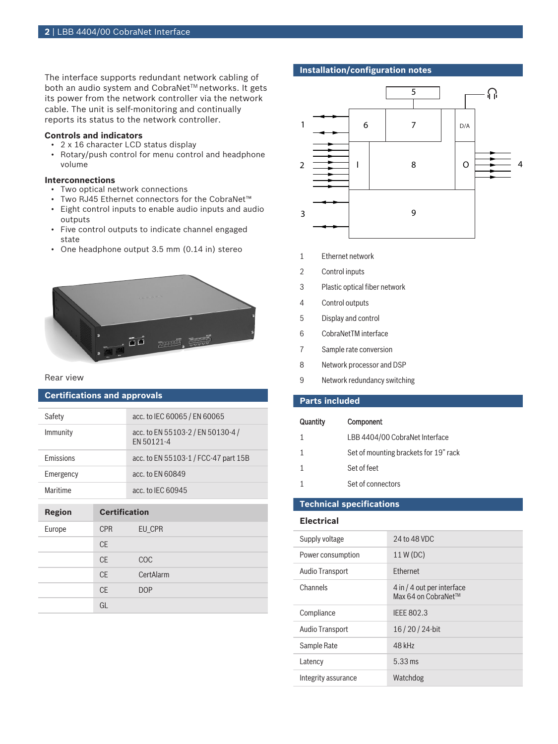The interface supports redundant network cabling of both an audio system and CobraNet™ networks. It gets its power from the network controller via the network cable. The unit is self-monitoring and continually reports its status to the network controller.

#### **Controls and indicators**

- 2 x 16 character LCD status display
- Rotary/push control for menu control and headphone volume

#### **Interconnections**

- Two optical network connections
- Two RJ45 Ethernet connectors for the CobraNet™
- Eight control inputs to enable audio inputs and audio outputs
- Five control outputs to indicate channel engaged state
- One headphone output 3.5 mm (0.14 in) stereo



#### Rear view

## **Certifications and approvals**

| Safety           | acc. to IEC 60065 / EN 60065                    |
|------------------|-------------------------------------------------|
| Immunity         | acc. to EN 55103-2 / EN 50130-4 /<br>FN 50121-4 |
| <b>Emissions</b> | acc. to EN 55103-1 / FCC-47 part 15B            |
| Emergency        | acc. to EN 60849                                |
| Maritime         | acc. to IEC 60945                               |

| <b>Region</b> | <b>Certification</b> |            |
|---------------|----------------------|------------|
| Europe        | <b>CPR</b>           | EU_CPR     |
|               | <b>CE</b>            |            |
|               | <b>CE</b>            | <b>COC</b> |
|               | <b>CE</b>            | CertAlarm  |
|               | <b>CE</b>            | <b>DOP</b> |
|               | GL                   |            |

### **Installation/configuration notes**



- 1 Ethernet network
- 2 Control inputs
- 3 Plastic optical fiber network
- 4 Control outputs
- 5 Display and control
- 6 CobraNetTM interface
- 7 Sample rate conversion
- 8 Network processor and DSP
- 9 Network redundancy switching

### **Parts included**

| Quantity | <b>Component</b>                      |
|----------|---------------------------------------|
| 1        | LBB 4404/00 CobraNet Interface        |
| 1        | Set of mounting brackets for 19" rack |
|          | Set of feet                           |
|          | Set of connectors                     |
|          |                                       |

### **Technical specifications**

#### **Electrical**

| Supply voltage      | 24 to 48 VDC                                      |
|---------------------|---------------------------------------------------|
| Power consumption   | 11 W (DC)                                         |
| Audio Transport     | <b>Ethernet</b>                                   |
| Channels            | 4 in / 4 out per interface<br>Max 64 on CobraNet™ |
| Compliance          | <b>IEEE 802.3</b>                                 |
| Audio Transport     | 16/20/24-bit                                      |
| Sample Rate         | 48 kHz                                            |
| Latency             | $5.33 \,\mathrm{ms}$                              |
| Integrity assurance | Watchdog                                          |